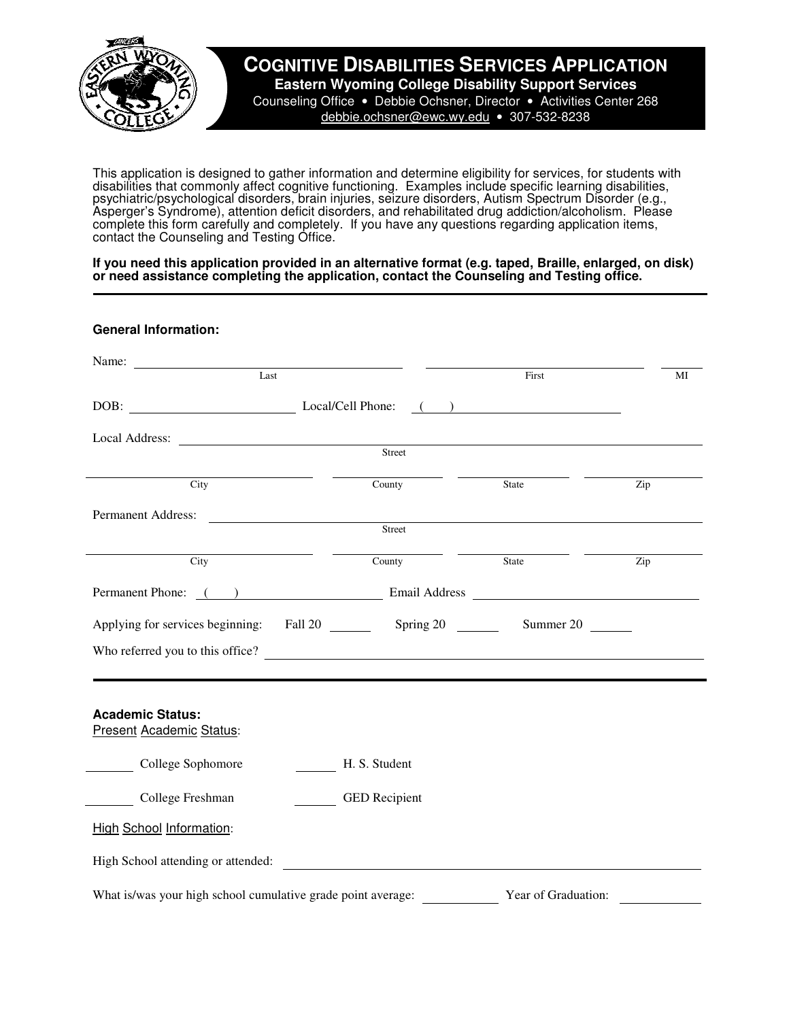

## **COGNITIVE DISABILITIES SERVICES APPLICATION**

**Eastern Wyoming College Disability Support Services** Counseling Office • Debbie Ochsner, Director • Activities Center 268 debbie.ochsner@ewc.wy.edu • 307-532-8238

This application is designed to gather information and determine eligibility for services, for students with disabilities that commonly affect cognitive functioning. Examples include specific learning disabilities, psychiatric/psychological disorders, brain injuries, seizure disorders, Autism Spectrum Disorder (e.g., Asperger's Syndrome), attention deficit disorders, and rehabilitated drug addiction/alcoholism. Please complete this form carefully and completely. If you have any questions regarding application items, contact the Counseling and Testing Office.

**If you need this application provided in an alternative format (e.g. taped, Braille, enlarged, on disk) or need assistance completing the application, contact the Counseling and Testing office.** 

## **General Information:**

| Name: Last                                                   |                                                              | First                                                                                                                                                                                                                         | MI  |
|--------------------------------------------------------------|--------------------------------------------------------------|-------------------------------------------------------------------------------------------------------------------------------------------------------------------------------------------------------------------------------|-----|
| DOB: Local/Cell Phone:                                       |                                                              | ) and the set of the set of the set of the set of the set of the set of the set of the set of the set of the set of the set of the set of the set of the set of the set of the set of the set of the set of the set of the se |     |
|                                                              | Local Address:                                               |                                                                                                                                                                                                                               |     |
|                                                              | Street                                                       |                                                                                                                                                                                                                               |     |
| City                                                         | County                                                       | State                                                                                                                                                                                                                         | Zip |
|                                                              | Permanent Address:                                           |                                                                                                                                                                                                                               |     |
|                                                              | Street                                                       |                                                                                                                                                                                                                               |     |
| City                                                         | County                                                       | State                                                                                                                                                                                                                         | Zip |
|                                                              |                                                              |                                                                                                                                                                                                                               |     |
|                                                              | Applying for services beginning: Fall 20 Spring 20 Summer 20 |                                                                                                                                                                                                                               |     |
|                                                              | Who referred you to this office?                             |                                                                                                                                                                                                                               |     |
|                                                              |                                                              |                                                                                                                                                                                                                               |     |
| <b>Academic Status:</b><br><b>Present Academic Status:</b>   |                                                              |                                                                                                                                                                                                                               |     |
| College Sophomore                                            | H. S. Student                                                |                                                                                                                                                                                                                               |     |
| College Freshman                                             | <b>GED</b> Recipient                                         |                                                                                                                                                                                                                               |     |
| <b>High School Information:</b>                              |                                                              |                                                                                                                                                                                                                               |     |
|                                                              | High School attending or attended:                           |                                                                                                                                                                                                                               |     |
| What is/was your high school cumulative grade point average: |                                                              | Year of Graduation:                                                                                                                                                                                                           |     |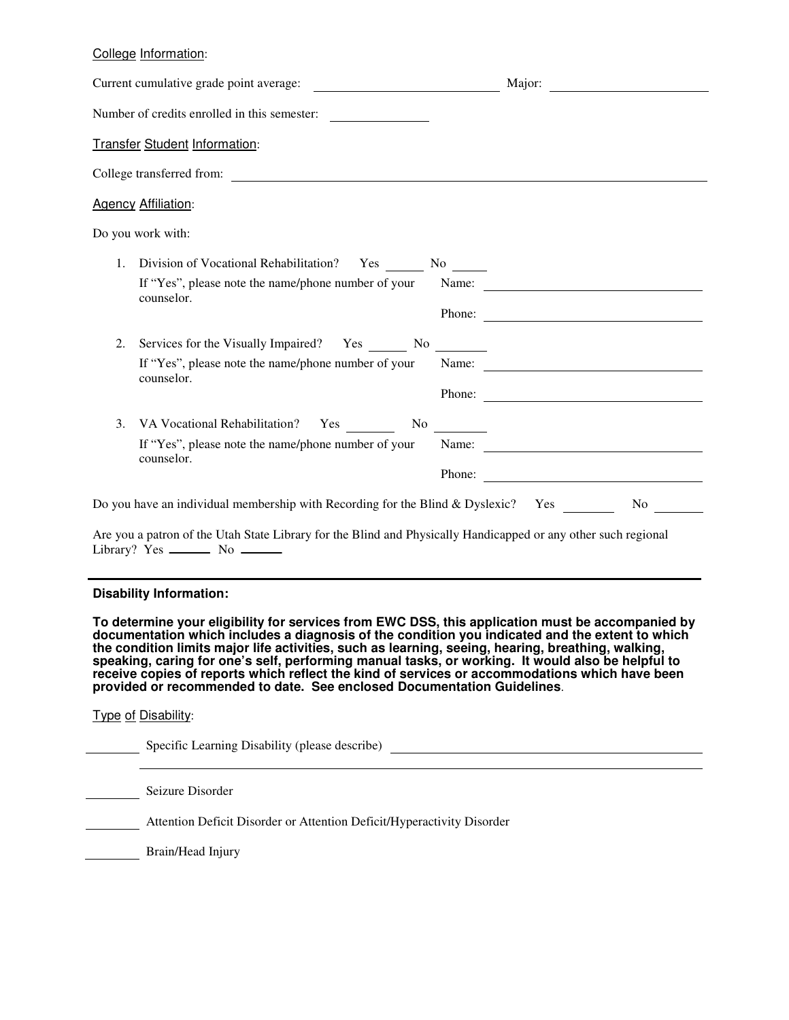## College Information:

| Current cumulative grade point average:                                                                                                                                                                                                                                                                                                                                                                                                                                                                                                                                                     | <u> Мајог: Денески мајог: Денески мајог: Денески мајог: Денески мајог: Денески мајог: Денески мајог: Денески мајог</u>                                                                                                                                                                                                                                                                                        |
|---------------------------------------------------------------------------------------------------------------------------------------------------------------------------------------------------------------------------------------------------------------------------------------------------------------------------------------------------------------------------------------------------------------------------------------------------------------------------------------------------------------------------------------------------------------------------------------------|---------------------------------------------------------------------------------------------------------------------------------------------------------------------------------------------------------------------------------------------------------------------------------------------------------------------------------------------------------------------------------------------------------------|
| Number of credits enrolled in this semester:                                                                                                                                                                                                                                                                                                                                                                                                                                                                                                                                                |                                                                                                                                                                                                                                                                                                                                                                                                               |
| <b>Transfer Student Information:</b>                                                                                                                                                                                                                                                                                                                                                                                                                                                                                                                                                        |                                                                                                                                                                                                                                                                                                                                                                                                               |
| College transferred from:                                                                                                                                                                                                                                                                                                                                                                                                                                                                                                                                                                   |                                                                                                                                                                                                                                                                                                                                                                                                               |
| <b>Agency Affiliation:</b>                                                                                                                                                                                                                                                                                                                                                                                                                                                                                                                                                                  |                                                                                                                                                                                                                                                                                                                                                                                                               |
| Do you work with:                                                                                                                                                                                                                                                                                                                                                                                                                                                                                                                                                                           |                                                                                                                                                                                                                                                                                                                                                                                                               |
| 1. Division of Vocational Rehabilitation? Yes ________ No _______                                                                                                                                                                                                                                                                                                                                                                                                                                                                                                                           |                                                                                                                                                                                                                                                                                                                                                                                                               |
| If "Yes", please note the name/phone number of your Name:                                                                                                                                                                                                                                                                                                                                                                                                                                                                                                                                   |                                                                                                                                                                                                                                                                                                                                                                                                               |
| counselor.                                                                                                                                                                                                                                                                                                                                                                                                                                                                                                                                                                                  | Phone:                                                                                                                                                                                                                                                                                                                                                                                                        |
| 2.<br>Services for the Visually Impaired? Yes No                                                                                                                                                                                                                                                                                                                                                                                                                                                                                                                                            |                                                                                                                                                                                                                                                                                                                                                                                                               |
| If "Yes", please note the name/phone number of your                                                                                                                                                                                                                                                                                                                                                                                                                                                                                                                                         | Name:                                                                                                                                                                                                                                                                                                                                                                                                         |
| counselor.                                                                                                                                                                                                                                                                                                                                                                                                                                                                                                                                                                                  | Phone:                                                                                                                                                                                                                                                                                                                                                                                                        |
| VA Vocational Rehabilitation? Yes No No<br>3.                                                                                                                                                                                                                                                                                                                                                                                                                                                                                                                                               |                                                                                                                                                                                                                                                                                                                                                                                                               |
| If "Yes", please note the name/phone number of your                                                                                                                                                                                                                                                                                                                                                                                                                                                                                                                                         | Name: $\frac{1}{\sqrt{1-\frac{1}{2}}\sqrt{1-\frac{1}{2}}\sqrt{1-\frac{1}{2}}\sqrt{1-\frac{1}{2}}\sqrt{1-\frac{1}{2}}\sqrt{1-\frac{1}{2}}\sqrt{1-\frac{1}{2}}\sqrt{1-\frac{1}{2}}\sqrt{1-\frac{1}{2}}\sqrt{1-\frac{1}{2}}\sqrt{1-\frac{1}{2}}\sqrt{1-\frac{1}{2}}\sqrt{1-\frac{1}{2}}\sqrt{1-\frac{1}{2}}\sqrt{1-\frac{1}{2}}\sqrt{1-\frac{1}{2}}\sqrt{1-\frac{1}{2}}\sqrt{1-\frac{1}{2}}\sqrt{1-\frac{1}{2}}$ |
| counselor.                                                                                                                                                                                                                                                                                                                                                                                                                                                                                                                                                                                  | Phone:                                                                                                                                                                                                                                                                                                                                                                                                        |
| Do you have an individual membership with Recording for the Blind & Dyslexic? Yes                                                                                                                                                                                                                                                                                                                                                                                                                                                                                                           | No service that the service of the series of the series of the series of the series of the series of the series of the series of the series of the series of the series of the series of the series of the series of the serie                                                                                                                                                                                |
| Are you a patron of the Utah State Library for the Blind and Physically Handicapped or any other such regional                                                                                                                                                                                                                                                                                                                                                                                                                                                                              |                                                                                                                                                                                                                                                                                                                                                                                                               |
| <b>Disability Information:</b>                                                                                                                                                                                                                                                                                                                                                                                                                                                                                                                                                              |                                                                                                                                                                                                                                                                                                                                                                                                               |
| To determine your eligibility for services from EWC DSS, this application must be accompanied by<br>documentation which includes a diagnosis of the condition you indicated and the extent to which<br>the condition limits major life activities, such as learning, seeing, hearing, breathing, walking,<br>speaking, caring for one's self, performing manual tasks, or working. It would also be helpful to<br>receive copies of reports which reflect the kind of services or accommodations which have been<br>provided or recommended to date. See enclosed Documentation Guidelines. |                                                                                                                                                                                                                                                                                                                                                                                                               |
| Type of Disability:                                                                                                                                                                                                                                                                                                                                                                                                                                                                                                                                                                         |                                                                                                                                                                                                                                                                                                                                                                                                               |
| Specific Learning Disability (please describe)                                                                                                                                                                                                                                                                                                                                                                                                                                                                                                                                              |                                                                                                                                                                                                                                                                                                                                                                                                               |

Seizure Disorder

 $\sim$ 

Attention Deficit Disorder or Attention Deficit/Hyperactivity Disorder

Brain/Head Injury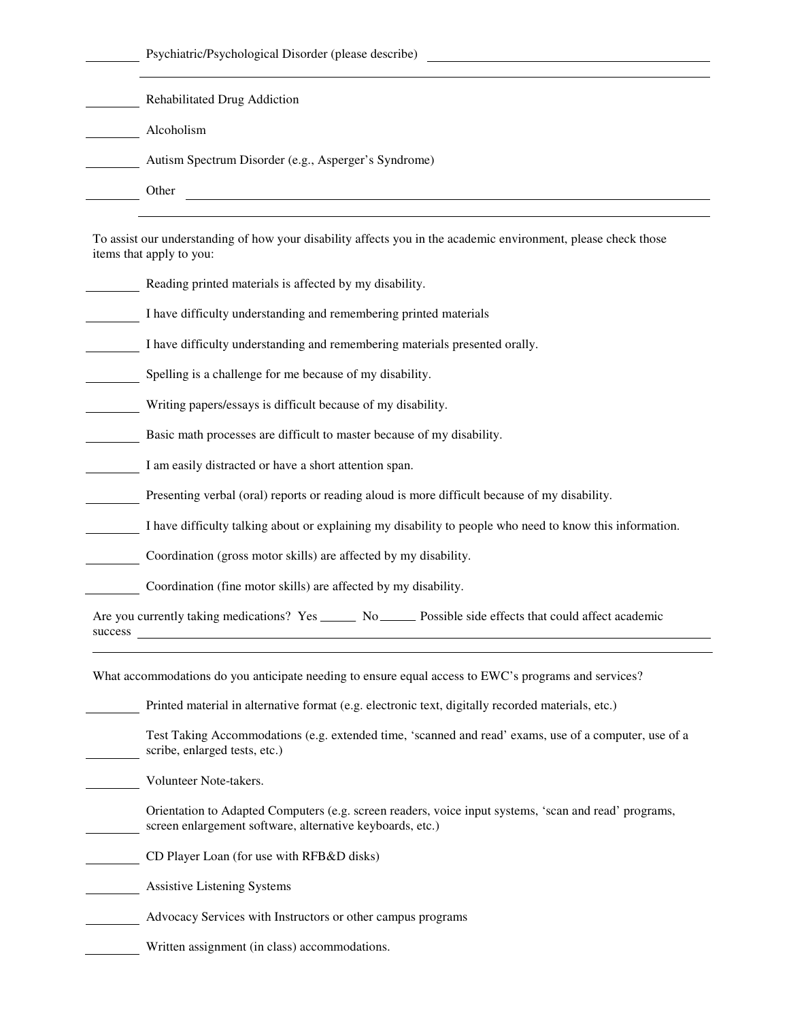Psychiatric/Psychological Disorder (please describe)

|         | Rehabilitated Drug Addiction                                                                                                                                       |  |
|---------|--------------------------------------------------------------------------------------------------------------------------------------------------------------------|--|
|         | Alcoholism                                                                                                                                                         |  |
|         | Autism Spectrum Disorder (e.g., Asperger's Syndrome)                                                                                                               |  |
|         | Other<br><u> 1980 - Johann John Stone, markin fan de Amerikaansk kommunent fan de Amerikaansk kommunent fan de Amerikaans</u>                                      |  |
|         | To assist our understanding of how your disability affects you in the academic environment, please check those<br>items that apply to you:                         |  |
|         | Reading printed materials is affected by my disability.                                                                                                            |  |
|         | I have difficulty understanding and remembering printed materials                                                                                                  |  |
|         | I have difficulty understanding and remembering materials presented orally.                                                                                        |  |
|         | Spelling is a challenge for me because of my disability.                                                                                                           |  |
|         | Writing papers/essays is difficult because of my disability.                                                                                                       |  |
|         | Basic math processes are difficult to master because of my disability.                                                                                             |  |
|         | I am easily distracted or have a short attention span.                                                                                                             |  |
|         | Presenting verbal (oral) reports or reading aloud is more difficult because of my disability.                                                                      |  |
|         | I have difficulty talking about or explaining my disability to people who need to know this information.                                                           |  |
|         | Coordination (gross motor skills) are affected by my disability.                                                                                                   |  |
|         | Coordination (fine motor skills) are affected by my disability.                                                                                                    |  |
| success | Are you currently taking medications? Yes ______ No _____ Possible side effects that could affect academic                                                         |  |
|         | What accommodations do you anticipate needing to ensure equal access to EWC's programs and services?                                                               |  |
|         | Printed material in alternative format (e.g. electronic text, digitally recorded materials, etc.)                                                                  |  |
|         | Test Taking Accommodations (e.g. extended time, 'scanned and read' exams, use of a computer, use of a<br>scribe, enlarged tests, etc.)                             |  |
|         | Volunteer Note-takers.                                                                                                                                             |  |
|         | Orientation to Adapted Computers (e.g. screen readers, voice input systems, 'scan and read' programs,<br>screen enlargement software, alternative keyboards, etc.) |  |
|         | CD Player Loan (for use with RFB&D disks)                                                                                                                          |  |
|         | <b>Assistive Listening Systems</b>                                                                                                                                 |  |
|         | Advocacy Services with Instructors or other campus programs                                                                                                        |  |

Written assignment (in class) accommodations.